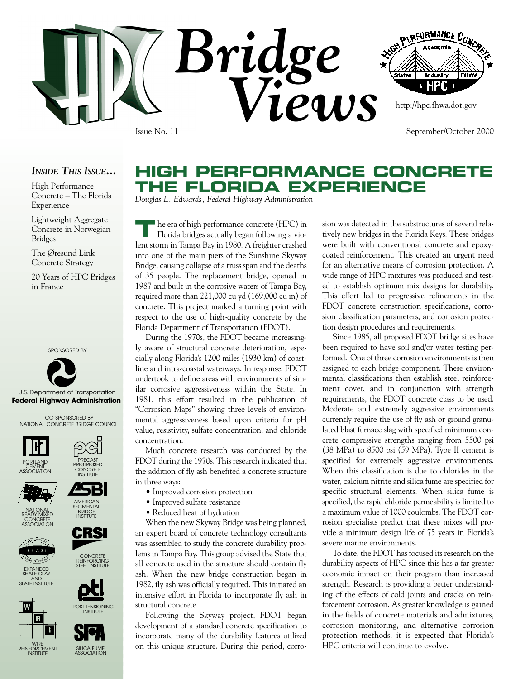

#### *INSIDE THIS ISSUE…*

High Performance Concrete – The Florida Experience

Lightweight Aggregate Concrete in Norwegian Bridges

The Øresund Link Concrete Strategy

20 Years of HPC Bridges in France





CO-SPONSORED BY NATIONAL CONCRETE BRIDGE COUNCIL





NATIONAL<br>READY MIXED BRIDGE<br>CONCRETE INSTITUTE CONCRETE ASSOCIATION



EXPANDED<br>SHALE CLAY SHALE CLAY AND

> $\mathbf R$  $\mathbf{r}$

W



AMERICAN SEGMENTAL BRIDGE

CRSI

PRECAST PRESTRESSED CONCRETE INSTITUTE







REINFORCEMENT SILICA FUME ASSOCIATION

# **HIGH PERFORMANCE CONCRETE THE FLORIDA EXPERIENCE**

*Douglas L. Edwards, Federal Highway Administration*

**T** he era of high performance concrete (HPC) in Florida bridges actually began following a violent storm in Tampa Bay in 1980. A freighter crashed into one of the main piers of the Sunshine Skyway Bridge, causing collapse of a truss span and the deaths of 35 people. The replacement bridge, opened in 1987 and built in the corrosive waters of Tampa Bay, required more than 221,000 cu yd (169,000 cu m) of concrete. This project marked a turning point with respect to the use of high-quality concrete by the Florida Department of Transportation (FDOT).

During the 1970s, the FDOT became increasingly aware of structural concrete deterioration, especially along Florida's 1200 miles (1930 km) of coastline and intra-coastal waterways. In response, FDOT undertook to define areas with environments of similar corrosive aggressiveness within the State. In 1981, this effort resulted in the publication of "Corrosion Maps" showing three levels of environmental aggressiveness based upon criteria for pH value, resistivity, sulfate concentration, and chloride concentration.

Much concrete research was conducted by the FDOT during the 1970s. This research indicated that the addition of fly ash benefited a concrete structure in three ways:

- Improved corrosion protection
- Improved sulfate resistance
- Reduced heat of hydration

When the new Skyway Bridge was being planned, an expert board of concrete technology consultants was assembled to study the concrete durability problems in Tampa Bay. This group advised the State that all concrete used in the structure should contain fly ash. When the new bridge construction began in 1982, fly ash was officially required. This initiated an intensive effort in Florida to incorporate fly ash in structural concrete.

Following the Skyway project, FDOT began development of a standard concrete specification to incorporate many of the durability features utilized on this unique structure. During this period, corrosion was detected in the substructures of several relatively new bridges in the Florida Keys. These bridges were built with conventional concrete and epoxycoated reinforcement. This created an urgent need for an alternative means of corrosion protection. A wide range of HPC mixtures was produced and tested to establish optimum mix designs for durability. This effort led to progressive refinements in the FDOT concrete construction specifications, corrosion classification parameters, and corrosion protection design procedures and requirements.

Since 1985, all proposed FDOT bridge sites have been required to have soil and/or water testing performed. One of three corrosion environments is then assigned to each bridge component. These environmental classifications then establish steel reinforcement cover, and in conjunction with strength requirements, the FDOT concrete class to be used. Moderate and extremely aggressive environments currently require the use of fly ash or ground granulated blast furnace slag with specified minimum concrete compressive strengths ranging from 5500 psi (38 MPa) to 8500 psi (59 MPa). Type II cement is specified for extremely aggressive environments. When this classification is due to chlorides in the water, calcium nitrite and silica fume are specified for specific structural elements. When silica fume is specified, the rapid chloride permeability is limited to a maximum value of 1000 coulombs. The FDOT corrosion specialists predict that these mixes will provide a minimum design life of 75 years in Florida's severe marine environments.

To date, the FDOT has focused its research on the durability aspects of HPC since this has a far greater economic impact on their program than increased strength. Research is providing a better understanding of the effects of cold joints and cracks on reinforcement corrosion. As greater knowledge is gained in the fields of concrete materials and admixtures, corrosion monitoring, and alternative corrosion protection methods, it is expected that Florida's HPC criteria will continue to evolve.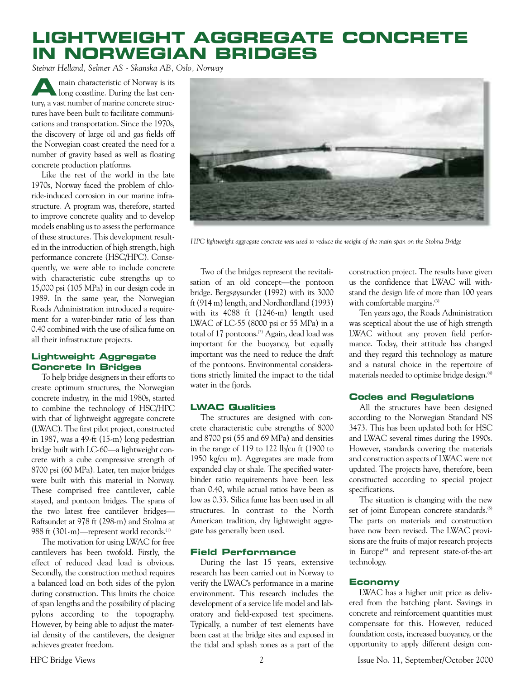# **LIGHTWEIGHT AGGREGATE CONCRETE IN NORWEGIAN BRIDGES**

*Steinar Helland, Selmer AS - Skanska AB, Oslo, Norway*

**AMA** main characteristic of Norway is its<br>long coastline. During the last century, a vast number of marine concrete structures have been built to facilitate communications and transportation. Since the 1970s, the discovery of large oil and gas fields off the Norwegian coast created the need for a number of gravity based as well as floating concrete production platforms.

Like the rest of the world in the late 1970s, Norway faced the problem of chloride-induced corrosion in our marine infrastructure. A program was, therefore, started to improve concrete quality and to develop models enabling us to assess the performance of these structures. This development resulted in the introduction of high strength, high performance concrete (HSC/HPC). Consequently, we were able to include concrete with characteristic cube strengths up to 15,000 psi (105 MPa) in our design code in 1989. In the same year, the Norwegian Roads Administration introduced a requirement for a water-binder ratio of less than 0.40 combined with the use of silica fume on all their infrastructure projects.

#### **Lightweight Aggregate Concrete In Bridges**

To help bridge designers in their efforts to create optimum structures, the Norwegian concrete industry, in the mid 1980s, started to combine the technology of HSC/HPC with that of lightweight aggregate concrete (LWAC). The first pilot project, constructed in 1987, was a 49-ft (15-m) long pedestrian bridge built with LC-60—a lightweight concrete with a cube compressive strength of 8700 psi (60 MPa). Later, ten major bridges were built with this material in Norway. These comprised free cantilever, cable stayed, and pontoon bridges. The spans of the two latest free cantilever bridges— Raftsundet at 978 ft (298-m) and Stolma at 988 ft (301-m)—represent world records.<sup>(1)</sup>

The motivation for using LWAC for free cantilevers has been twofold. Firstly, the effect of reduced dead load is obvious. Secondly, the construction method requires a balanced load on both sides of the pylon during construction. This limits the choice of span lengths and the possibility of placing pylons according to the topography. However, by being able to adjust the material density of the cantilevers, the designer achieves greater freedom.



*HPC lightweight aggregate concrete was used to reduce the weight of the main span on the Stolma Bridge*

Two of the bridges represent the revitalisation of an old concept—the pontoon bridge. Bergsøysundet (1992) with its 3000 ft (914 m) length, and Nordhordland (1993) with its 4088 ft (1246-m) length used LWAC of LC-55 (8000 psi or 55 MPa) in a total of 17 pontoons.<sup>(2)</sup> Again, dead load was important for the buoyancy, but equally important was the need to reduce the draft of the pontoons. Environmental considerations strictly limited the impact to the tidal water in the fiords.

# **LWAC Qualities**

The structures are designed with concrete characteristic cube strengths of 8000 and 8700 psi (55 and 69 MPa) and densities in the range of 119 to 122 lb/cu ft (1900 to 1950 kg/cu m). Aggregates are made from expanded clay or shale. The specified waterbinder ratio requirements have been less than 0.40, while actual ratios have been as low as 0.33. Silica fume has been used in all structures. In contrast to the North American tradition, dry lightweight aggregate has generally been used.

# **Field Performance**

During the last 15 years, extensive research has been carried out in Norway to verify the LWAC's performance in a marine environment. This research includes the development of a service life model and laboratory and field-exposed test specimens. Typically, a number of test elements have been cast at the bridge sites and exposed in the tidal and splash zones as a part of the construction project. The results have given us the confidence that LWAC will withstand the design life of more than 100 years with comfortable margins.<sup>(3)</sup>

Ten years ago, the Roads Administration was sceptical about the use of high strength LWAC without any proven field performance. Today, their attitude has changed and they regard this technology as mature and a natural choice in the repertoire of materials needed to optimize bridge design.(4)

#### **Codes and Regulations**

All the structures have been designed according to the Norwegian Standard NS 3473. This has been updated both for HSC and LWAC several times during the 1990s. However, standards covering the materials and construction aspects of LWAC were not updated. The projects have, therefore, been constructed according to special project specifications.

The situation is changing with the new set of joint European concrete standards.<sup>(5)</sup> The parts on materials and construction have now been revised. The LWAC provisions are the fruits of major research projects in Europe<sup>(6)</sup> and represent state-of-the-art technology.

# **Economy**

LWAC has a higher unit price as delivered from the batching plant. Savings in concrete and reinforcement quantities must compensate for this. However, reduced foundation costs, increased buoyancy, or the opportunity to apply different design con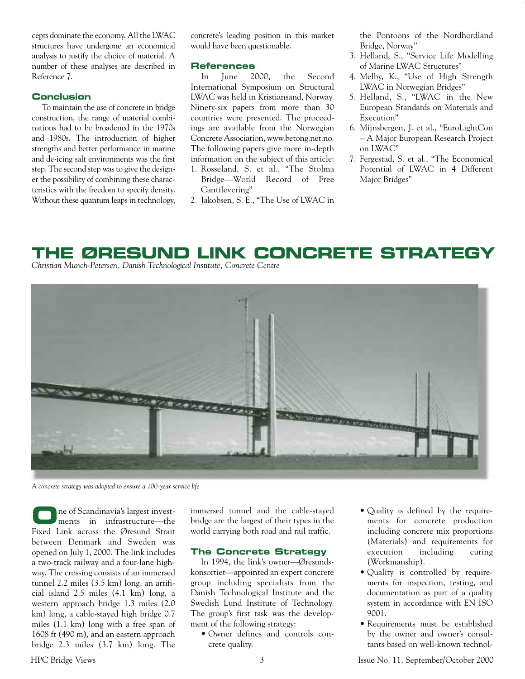cepts dominate the economy. All the LWAC structures have undergone an economical analysis to justify the choice of material. A number of these analyses are described in Reference 7.

#### **Conclusion**

To maintain the use of concrete in bridge construction, the range of material combinations had to be broadened in the 1970s and 1980s. The introduction of higher strengths and better performance in marine and de-icing salt environments was the first step. The second step was to give the designer the possibility of combining these characteristics with the freedom to specify density. Without these quantum leaps in technology, concrete's leading position in this market would have been questionable.

#### **References**

In June 2000, the Second International Symposium on Structural LWAC was held in Kristiansand, Norway. Ninety-six papers from more than 30 countries were presented. The proceedings are available from the Norwegian Concrete Association, www.betong.net.no. The following papers give more in-depth information on the subject of this article: 1. Rosseland, S. et al., "The Stolma

- Bridge—World Record of Free Cantilevering"
- 2. Jakobsen, S. E., "The Use of LWAC in

the Pontoons of the Nordhordland Bridge, Norway"

- 3. Helland, S., "Service Life Modelling of Marine LWAC Structures"
- 4. Melby, K., "Use of High Strength LWAC in Norwegian Bridges"
- 5. Helland, S., "LWAC in the New European Standards on Materials and Execution"
- 6. Mijnsbergen, J. et al., "EuroLightCon – A Major European Research Project on LWAC"
- 7. Fergestad, S. et al., "The Economical Potential of LWAC in 4 Different Major Bridges"

# **THE ØRESUND LINK CONCRETE STRATEGY**

*Christian Munch-Petersen, Danish Technological Institute, Concrete Centre* 



*A concrete strategy was adopted to ensure a 100-year service life*

**O**ne of Scandinavia's largest invest-ments in infrastructure—the Fixed Link across the Øresund Strait between Denmark and Sweden was opened on July 1, 2000. The link includes a two-track railway and a four-lane highway. The crossing consists of an immersed tunnel 2.2 miles (3.5 km) long, an artificial island 2.5 miles (4.1 km) long, a western approach bridge 1.3 miles (2.0 km) long, a cable-stayed high bridge 0.7 miles (1.1 km) long with a free span of 1608 ft (490 m), and an eastern approach bridge 2.3 miles (3.7 km) long. The

immersed tunnel and the cable-stayed bridge are the largest of their types in the world carrying both road and rail traffic.

#### **The Concrete Strategy**

In 1994, the link's owner—Øresundskonsortiet—appointed an expert concrete group including specialists from the Danish Technological Institute and the Swedish Lund Institute of Technology. The group's first task was the development of the following strategy:

- Owner defines and controls concrete quality.
- Quality is defined by the requirements for concrete production including concrete mix proportions (Materials) and requirements for execution including curing (Workmanship).
- Quality is controlled by requirements for inspection, testing, and documentation as part of a quality system in accordance with EN ISO 9001.
- Requirements must be established by the owner and owner's consultants based on well-known technol-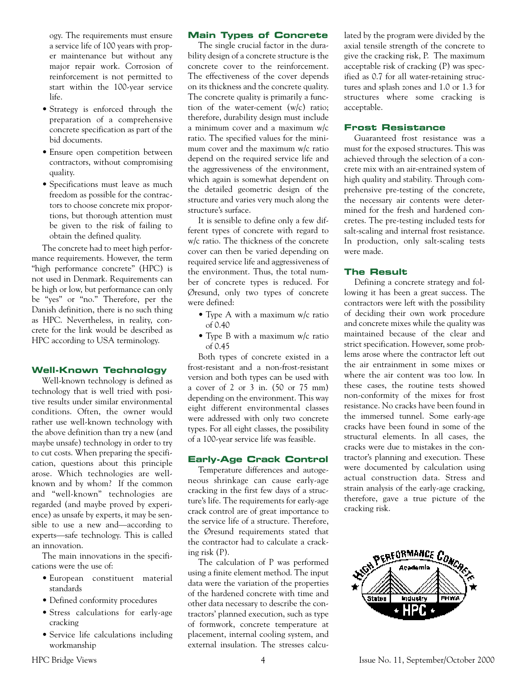ogy. The requirements must ensure a service life of 100 years with proper maintenance but without any major repair work. Corrosion of reinforcement is not permitted to start within the 100-year service life.

- Strategy is enforced through the preparation of a comprehensive concrete specification as part of the bid documents.
- Ensure open competition between contractors, without compromising quality.
- Specifications must leave as much freedom as possible for the contractors to choose concrete mix proportions, but thorough attention must be given to the risk of failing to obtain the defined quality.

The concrete had to meet high performance requirements. However, the term "high performance concrete" (HPC) is not used in Denmark. Requirements can be high or low, but performance can only be "yes" or "no." Therefore, per the Danish definition, there is no such thing as HPC. Nevertheless, in reality, concrete for the link would be described as HPC according to USA terminology.

#### **Well-Known Technology**

Well-known technology is defined as technology that is well tried with positive results under similar environmental conditions. Often, the owner would rather use well-known technology with the above definition than try a new (and maybe unsafe) technology in order to try to cut costs. When preparing the specification, questions about this principle arose. Which technologies are wellknown and by whom? If the common and "well-known" technologies are regarded (and maybe proved by experience) as unsafe by experts, it may be sensible to use a new and—according to experts—safe technology. This is called an innovation.

The main innovations in the specifications were the use of:

- European constituent material standards
- Defined conformity procedures
- Stress calculations for early-age cracking
- Service life calculations including workmanship

#### **Main Types of Concrete**

The single crucial factor in the durability design of a concrete structure is the concrete cover to the reinforcement. The effectiveness of the cover depends on its thickness and the concrete quality. The concrete quality is primarily a function of the water-cement (w/c) ratio; therefore, durability design must include a minimum cover and a maximum w/c ratio. The specified values for the minimum cover and the maximum w/c ratio depend on the required service life and the aggressiveness of the environment, which again is somewhat dependent on the detailed geometric design of the structure and varies very much along the structure's surface.

It is sensible to define only a few different types of concrete with regard to w/c ratio. The thickness of the concrete cover can then be varied depending on required service life and aggressiveness of the environment. Thus, the total number of concrete types is reduced. For Øresund, only two types of concrete were defined:

- Type A with a maximum w/c ratio of 0.40
- Type B with a maximum w/c ratio of 0.45

Both types of concrete existed in a frost-resistant and a non-frost-resistant version and both types can be used with a cover of 2 or 3 in. (50 or 75 mm) depending on the environment. This way eight different environmental classes were addressed with only two concrete types. For all eight classes, the possibility of a 100-year service life was feasible.

#### **Early-Age Crack Control**

Temperature differences and autogeneous shrinkage can cause early-age cracking in the first few days of a structure's life. The requirements for early-age crack control are of great importance to the service life of a structure. Therefore, the Øresund requirements stated that the contractor had to calculate a cracking risk (P).

The calculation of P was performed using a finite element method. The input data were the variation of the properties of the hardened concrete with time and other data necessary to describe the contractors' planned execution, such as type of formwork, concrete temperature at placement, internal cooling system, and external insulation. The stresses calcu-

lated by the program were divided by the axial tensile strength of the concrete to give the cracking risk, P. The maximum acceptable risk of cracking (P) was specified as 0.7 for all water-retaining structures and splash zones and 1.0 or 1.3 for structures where some cracking is acceptable.

#### **Frost Resistance**

Guaranteed frost resistance was a must for the exposed structures. This was achieved through the selection of a concrete mix with an air-entrained system of high quality and stability. Through comprehensive pre-testing of the concrete, the necessary air contents were determined for the fresh and hardened concretes. The pre-testing included tests for salt-scaling and internal frost resistance. In production, only salt-scaling tests were made.

#### **The Result**

Defining a concrete strategy and following it has been a great success. The contractors were left with the possibility of deciding their own work procedure and concrete mixes while the quality was maintained because of the clear and strict specification. However, some problems arose where the contractor left out the air entrainment in some mixes or where the air content was too low. In these cases, the routine tests showed non-conformity of the mixes for frost resistance. No cracks have been found in the immersed tunnel. Some early-age cracks have been found in some of the structural elements. In all cases, the cracks were due to mistakes in the contractor's planning and execution. These were documented by calculation using actual construction data. Stress and strain analysis of the early-age cracking, therefore, gave a true picture of the cracking risk.

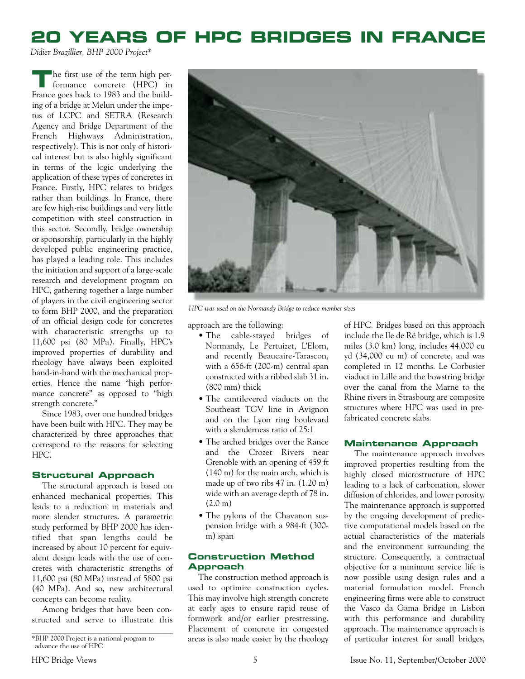# **20 YEARS OF HPC BRIDGES IN FRANCE**

*Didier Brazillier, BHP 2000 Project\**

The first use of the term high per-<br>formance concrete (HPC) in France goes back to 1983 and the building of a bridge at Melun under the impetus of LCPC and SETRA (Research Agency and Bridge Department of the French Highways Administration, respectively). This is not only of historical interest but is also highly significant in terms of the logic underlying the application of these types of concretes in France. Firstly, HPC relates to bridges rather than buildings. In France, there are few high-rise buildings and very little competition with steel construction in this sector. Secondly, bridge ownership or sponsorship, particularly in the highly developed public engineering practice, has played a leading role. This includes the initiation and support of a large-scale research and development program on HPC, gathering together a large number of players in the civil engineering sector to form BHP 2000, and the preparation of an official design code for concretes with characteristic strengths up to 11,600 psi (80 MPa). Finally, HPC's improved properties of durability and rheology have always been exploited hand-in-hand with the mechanical properties. Hence the name "high performance concrete" as opposed to "high strength concrete."

Since 1983, over one hundred bridges have been built with HPC. They may be characterized by three approaches that correspond to the reasons for selecting HPC.

#### **Structural Approach**

The structural approach is based on enhanced mechanical properties. This leads to a reduction in materials and more slender structures. A parametric study performed by BHP 2000 has identified that span lengths could be increased by about 10 percent for equivalent design loads with the use of concretes with characteristic strengths of 11,600 psi (80 MPa) instead of 5800 psi (40 MPa). And so, new architectural concepts can become reality.

Among bridges that have been constructed and serve to illustrate this



*HPC was used on the Normandy Bridge to reduce member sizes*

approach are the following:

- The cable-stayed bridges of Normandy, Le Pertuizet, L'Elorn, and recently Beaucaire-Tarascon, with a 656-ft (200-m) central span constructed with a ribbed slab 31 in. (800 mm) thick
- The cantilevered viaducts on the Southeast TGV line in Avignon and on the Lyon ring boulevard with a slenderness ratio of 25:1
- The arched bridges over the Rance and the Crozet Rivers near Grenoble with an opening of 459 ft (140 m) for the main arch, which is made up of two ribs 47 in. (1.20 m) wide with an average depth of 78 in. (2.0 m)
- The pylons of the Chavanon suspension bridge with a 984-ft (300 m) span

# **Construction Method Approach**

The construction method approach is used to optimize construction cycles. This may involve high strength concrete at early ages to ensure rapid reuse of formwork and/or earlier prestressing. Placement of concrete in congested areas is also made easier by the rheology of HPC. Bridges based on this approach include the Ile de Ré bridge, which is 1.9 miles (3.0 km) long, includes 44,000 cu yd (34,000 cu m) of concrete, and was completed in 12 months. Le Corbusier viaduct in Lille and the bowstring bridge over the canal from the Marne to the Rhine rivers in Strasbourg are composite structures where HPC was used in prefabricated concrete slabs.

# **Maintenance Approach**

The maintenance approach involves improved properties resulting from the highly closed microstructure of HPC leading to a lack of carbonation, slower diffusion of chlorides, and lower porosity. The maintenance approach is supported by the ongoing development of predictive computational models based on the actual characteristics of the materials and the environment surrounding the structure. Consequently, a contractual objective for a minimum service life is now possible using design rules and a material formulation model. French engineering firms were able to construct the Vasco da Gama Bridge in Lisbon with this performance and durability approach. The maintenance approach is of particular interest for small bridges,

\_\_\_\_\_\_\_\_\_\_\_\_\_\_\_\_\_\_\_\_\_\_\_\_\_\_\_\_\_\_\_\_\_ \*BHP 2000 Project is a national program to advance the use of HPC